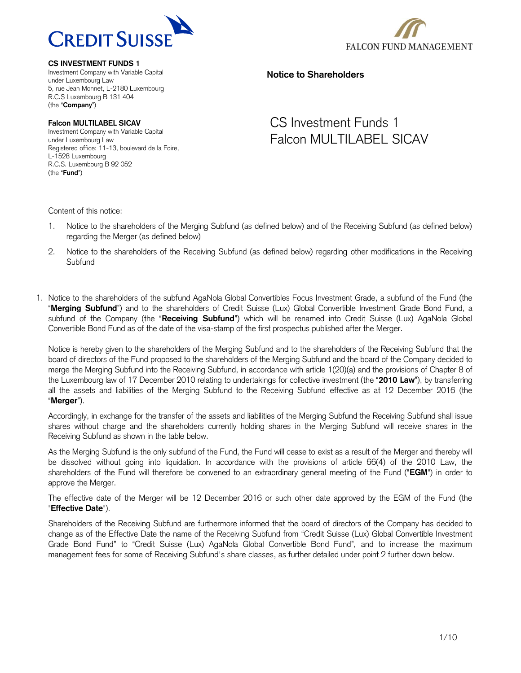

**FALCON FUND MANAGEMENT** 

**CS INVESTMENT FUNDS 1**

Investment Company with Variable Capital under Luxembourg Law 5, rue Jean Monnet, L-2180 Luxembourg R.C.S Luxembourg B 131 404 (the "**Company**")

**Falcon MULTILABEL SICAV** Investment Company with Variable Capital under Luxembourg Law Registered office: 11-13, boulevard de la Foire, L-1528 Luxembourg R.C.S. Luxembourg B 92 052 (the "**Fund**")

# **Notice to Shareholders**

# CS Investment Funds 1 Falcon MULTILABEL SICAV

Content of this notice:

- 1. Notice to the shareholders of the Merging Subfund (as defined below) and of the Receiving Subfund (as defined below) regarding the Merger (as defined below)
- 2. Notice to the shareholders of the Receiving Subfund (as defined below) regarding other modifications in the Receiving **Subfund**
- 1. Notice to the shareholders of the subfund AgaNola Global Convertibles Focus Investment Grade, a subfund of the Fund (the "**Merging Subfund**") and to the shareholders of Credit Suisse (Lux) Global Convertible Investment Grade Bond Fund, a subfund of the Company (the "**Receiving Subfund**") which will be renamed into Credit Suisse (Lux) AgaNola Global Convertible Bond Fund as of the date of the visa-stamp of the first prospectus published after the Merger.

Notice is hereby given to the shareholders of the Merging Subfund and to the shareholders of the Receiving Subfund that the board of directors of the Fund proposed to the shareholders of the Merging Subfund and the board of the Company decided to merge the Merging Subfund into the Receiving Subfund, in accordance with article 1(20)(a) and the provisions of Chapter 8 of the Luxembourg law of 17 December 2010 relating to undertakings for collective investment (the "**2010 Law**"), by transferring all the assets and liabilities of the Merging Subfund to the Receiving Subfund effective as at 12 December 2016 (the "**Merger**").

Accordingly, in exchange for the transfer of the assets and liabilities of the Merging Subfund the Receiving Subfund shall issue shares without charge and the shareholders currently holding shares in the Merging Subfund will receive shares in the Receiving Subfund as shown in the table below.

As the Merging Subfund is the only subfund of the Fund, the Fund will cease to exist as a result of the Merger and thereby will be dissolved without going into liquidation. In accordance with the provisions of article 66(4) of the 2010 Law, the shareholders of the Fund will therefore be convened to an extraordinary general meeting of the Fund ("**EGM**") in order to approve the Merger.

The effective date of the Merger will be 12 December 2016 or such other date approved by the EGM of the Fund (the "**Effective Date**").

Shareholders of the Receiving Subfund are furthermore informed that the board of directors of the Company has decided to change as of the Effective Date the name of the Receiving Subfund from "Credit Suisse (Lux) Global Convertible Investment Grade Bond Fund" to "Credit Suisse (Lux) AgaNola Global Convertible Bond Fund", and to increase the maximum management fees for some of Receiving Subfund's share classes, as further detailed under point 2 further down below.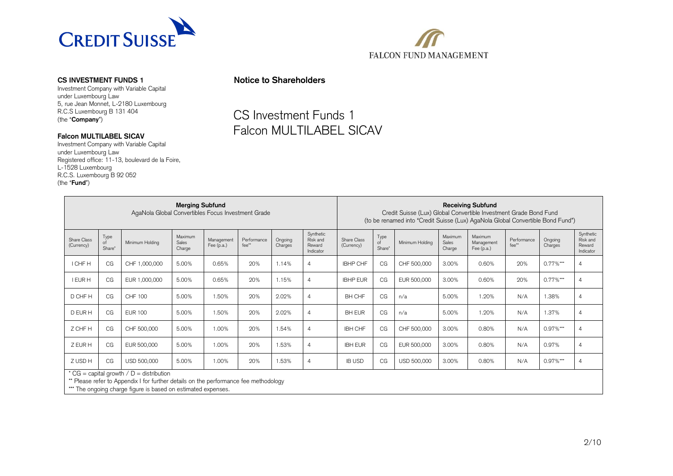

Investment Company with Variable Capital under Luxembourg Law 5, rue Jean Monnet, L-2180 Luxembourg R.C.S Luxembourg B 131 404 (the "**Company**")

## **Falcon MULTILABEL SICAV**

Investment Company with Variable Capital under Luxembourg Law Registered office: 11-13, boulevard de la Foire, L-1528 Luxembourg R.C.S. Luxembourg B 92 052 (the "**Fund**")



# CS Investment Funds 1 Falcon MULTILABEL SICAV

**FALCON FUND MANAGEMENT** 

| <b>Merging Subfund</b><br>AgaNola Global Convertibles Focus Investment Grade |                                                 |                 |                                   | <b>Receiving Subfund</b><br>Credit Suisse (Lux) Global Convertible Investment Grade Bond Fund<br>(to be renamed into "Credit Suisse (Lux) AgaNola Global Convertible Bond Fund") |                      |                    |                                              |                           |                      |                 |                            |                                       |                      |                    |                                              |
|------------------------------------------------------------------------------|-------------------------------------------------|-----------------|-----------------------------------|----------------------------------------------------------------------------------------------------------------------------------------------------------------------------------|----------------------|--------------------|----------------------------------------------|---------------------------|----------------------|-----------------|----------------------------|---------------------------------------|----------------------|--------------------|----------------------------------------------|
| Share Class<br>(Currency)                                                    | Type<br>of<br>Share*                            | Minimum Holding | Maximum<br><b>Sales</b><br>Charge | Management<br>Fee $(p.a.)$                                                                                                                                                       | Performance<br>fee** | Ongoing<br>Charges | Synthetic<br>Risk and<br>Reward<br>Indicator | Share Class<br>(Currency) | Type<br>of<br>Share* | Minimum Holding | Maximum<br>Sales<br>Charge | Maximum<br>Management<br>Fee $(p.a.)$ | Performance<br>fee** | Ongoing<br>Charges | Synthetic<br>Risk and<br>Reward<br>Indicator |
| I CHF H                                                                      | CG                                              | CHF 1,000,000   | 5.00%                             | 0.65%                                                                                                                                                                            | 20%                  | 1.14%              | $\overline{4}$                               | <b>IBHP CHF</b>           | CG                   | CHF 500,000     | 3.00%                      | 0.60%                                 | 20%                  | $0.77\%$ ***       | $\overline{4}$                               |
| I EUR H                                                                      | CG                                              | EUR 1,000,000   | 5.00%                             | 0.65%                                                                                                                                                                            | 20%                  | 1.15%              | $\overline{4}$                               | <b>IBHP EUR</b>           | CG                   | EUR 500,000     | 3.00%                      | 0.60%                                 | 20%                  | $0.77\%$ ***       | 4                                            |
| D CHF H                                                                      | CG                                              | <b>CHF 100</b>  | 5.00%                             | 1.50%                                                                                                                                                                            | 20%                  | 2.02%              | $\overline{4}$                               | <b>BH CHF</b>             | CG                   | n/a             | 5.00%                      | 1.20%                                 | N/A                  | 1.38%              | 4                                            |
| D EUR H                                                                      | CG                                              | <b>EUR 100</b>  | 5.00%                             | 1.50%                                                                                                                                                                            | 20%                  | 2.02%              | $\overline{4}$                               | <b>BH EUR</b>             | CG                   | n/a             | 5.00%                      | 1.20%                                 | N/A                  | 1.37%              | $\overline{4}$                               |
| Z CHF H                                                                      | CG                                              | CHF 500,000     | 5.00%                             | 1.00%                                                                                                                                                                            | 20%                  | 1.54%              | $\overline{4}$                               | <b>IBH CHF</b>            | CG                   | CHF 500,000     | 3.00%                      | 0.80%                                 | N/A                  | $0.97\%$ ***       | 4                                            |
| Z EUR H                                                                      | CG                                              | EUR 500,000     | 5.00%                             | 1.00%                                                                                                                                                                            | 20%                  | 1.53%              | $\overline{4}$                               | <b>IBH EUR</b>            | CG                   | EUR 500,000     | 3.00%                      | 0.80%                                 | N/A                  | 0.97%              | $\overline{4}$                               |
| Z USD H                                                                      | CG                                              | USD 500,000     | 5.00%                             | 1.00%                                                                                                                                                                            | 20%                  | 1.53%              | $\overline{4}$                               | <b>IB USD</b>             | CG                   | USD 500,000     | 3.00%                      | 0.80%                                 | N/A                  | $0.97\%$ ***       | 4                                            |
|                                                                              | * CG = capital growth $\angle D$ = distribution |                 |                                   |                                                                                                                                                                                  |                      |                    |                                              |                           |                      |                 |                            |                                       |                      |                    |                                              |

\*\* Please refer to Appendix I for further details on the performance fee methodology

\*\*\* The ongoing charge figure is based on estimated expenses.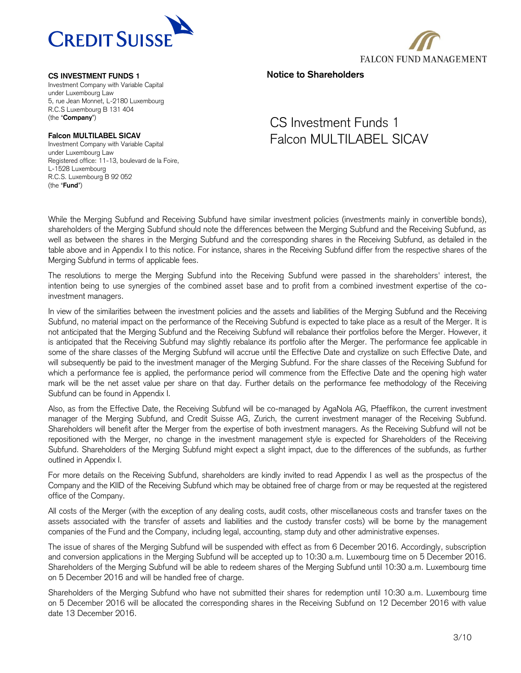

Investment Company with Variable Capital under Luxembourg Law 5, rue Jean Monnet, L-2180 Luxembourg R.C.S Luxembourg B 131 404 (the "**Company**")

# **Falcon MULTILABEL SICAV**

Investment Company with Variable Capital under Luxembourg Law Registered office: 11-13, boulevard de la Foire, L-1528 Luxembourg R.C.S. Luxembourg B 92 052 (the "**Fund**")



**Notice to Shareholders**

# CS Investment Funds 1 Falcon MULTILABEL SICAV

While the Merging Subfund and Receiving Subfund have similar investment policies (investments mainly in convertible bonds), shareholders of the Merging Subfund should note the differences between the Merging Subfund and the Receiving Subfund, as well as between the shares in the Merging Subfund and the corresponding shares in the Receiving Subfund, as detailed in the table above and in Appendix I to this notice. For instance, shares in the Receiving Subfund differ from the respective shares of the Merging Subfund in terms of applicable fees.

The resolutions to merge the Merging Subfund into the Receiving Subfund were passed in the shareholders' interest, the intention being to use synergies of the combined asset base and to profit from a combined investment expertise of the coinvestment managers.

In view of the similarities between the investment policies and the assets and liabilities of the Merging Subfund and the Receiving Subfund, no material impact on the performance of the Receiving Subfund is expected to take place as a result of the Merger. It is not anticipated that the Merging Subfund and the Receiving Subfund will rebalance their portfolios before the Merger. However, it is anticipated that the Receiving Subfund may slightly rebalance its portfolio after the Merger. The performance fee applicable in some of the share classes of the Merging Subfund will accrue until the Effective Date and crystallize on such Effective Date, and will subsequently be paid to the investment manager of the Merging Subfund. For the share classes of the Receiving Subfund for which a performance fee is applied, the performance period will commence from the Effective Date and the opening high water mark will be the net asset value per share on that day. Further details on the performance fee methodology of the Receiving Subfund can be found in Appendix I.

Also, as from the Effective Date, the Receiving Subfund will be co-managed by AgaNola AG, Pfaeffikon, the current investment manager of the Merging Subfund, and Credit Suisse AG, Zurich, the current investment manager of the Receiving Subfund. Shareholders will benefit after the Merger from the expertise of both investment managers. As the Receiving Subfund will not be repositioned with the Merger, no change in the investment management style is expected for Shareholders of the Receiving Subfund. Shareholders of the Merging Subfund might expect a slight impact, due to the differences of the subfunds, as further outlined in Appendix I.

For more details on the Receiving Subfund, shareholders are kindly invited to read Appendix I as well as the prospectus of the Company and the KIID of the Receiving Subfund which may be obtained free of charge from or may be requested at the registered office of the Company.

All costs of the Merger (with the exception of any dealing costs, audit costs, other miscellaneous costs and transfer taxes on the assets associated with the transfer of assets and liabilities and the custody transfer costs) will be borne by the management companies of the Fund and the Company, including legal, accounting, stamp duty and other administrative expenses.

The issue of shares of the Merging Subfund will be suspended with effect as from 6 December 2016. Accordingly, subscription and conversion applications in the Merging Subfund will be accepted up to 10:30 a.m. Luxembourg time on 5 December 2016. Shareholders of the Merging Subfund will be able to redeem shares of the Merging Subfund until 10:30 a.m. Luxembourg time on 5 December 2016 and will be handled free of charge.

Shareholders of the Merging Subfund who have not submitted their shares for redemption until 10:30 a.m. Luxembourg time on 5 December 2016 will be allocated the corresponding shares in the Receiving Subfund on 12 December 2016 with value date 13 December 2016.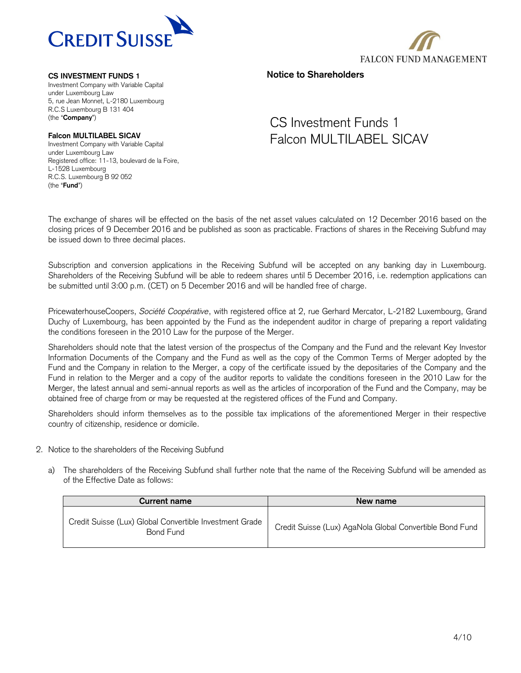

Investment Company with Variable Capital under Luxembourg Law 5, rue Jean Monnet, L-2180 Luxembourg R.C.S Luxembourg B 131 404 (the "**Company**")

# **Falcon MULTILABEL SICAV**

Investment Company with Variable Capital under Luxembourg Law Registered office: 11-13, boulevard de la Foire, L-1528 Luxembourg R.C.S. Luxembourg B 92 052 (the "**Fund**")

# **FALCON FUND MANAGEMENT**

**Notice to Shareholders**

# CS Investment Funds 1 Falcon MULTILABEL SICAV

The exchange of shares will be effected on the basis of the net asset values calculated on 12 December 2016 based on the closing prices of 9 December 2016 and be published as soon as practicable. Fractions of shares in the Receiving Subfund may be issued down to three decimal places.

Subscription and conversion applications in the Receiving Subfund will be accepted on any banking day in Luxembourg. Shareholders of the Receiving Subfund will be able to redeem shares until 5 December 2016, i.e. redemption applications can be submitted until 3:00 p.m. (CET) on 5 December 2016 and will be handled free of charge.

PricewaterhouseCoopers, *Société Coopérative*, with registered office at 2, rue Gerhard Mercator, L-2182 Luxembourg, Grand Duchy of Luxembourg, has been appointed by the Fund as the independent auditor in charge of preparing a report validating the conditions foreseen in the 2010 Law for the purpose of the Merger.

Shareholders should note that the latest version of the prospectus of the Company and the Fund and the relevant Key Investor Information Documents of the Company and the Fund as well as the copy of the Common Terms of Merger adopted by the Fund and the Company in relation to the Merger, a copy of the certificate issued by the depositaries of the Company and the Fund in relation to the Merger and a copy of the auditor reports to validate the conditions foreseen in the 2010 Law for the Merger, the latest annual and semi-annual reports as well as the articles of incorporation of the Fund and the Company, may be obtained free of charge from or may be requested at the registered offices of the Fund and Company.

Shareholders should inform themselves as to the possible tax implications of the aforementioned Merger in their respective country of citizenship, residence or domicile.

- 2. Notice to the shareholders of the Receiving Subfund
	- a) The shareholders of the Receiving Subfund shall further note that the name of the Receiving Subfund will be amended as of the Effective Date as follows:

| <b>Current name</b>                                                  | New name                                                 |
|----------------------------------------------------------------------|----------------------------------------------------------|
| Credit Suisse (Lux) Global Convertible Investment Grade<br>Bond Fund | Credit Suisse (Lux) AgaNola Global Convertible Bond Fund |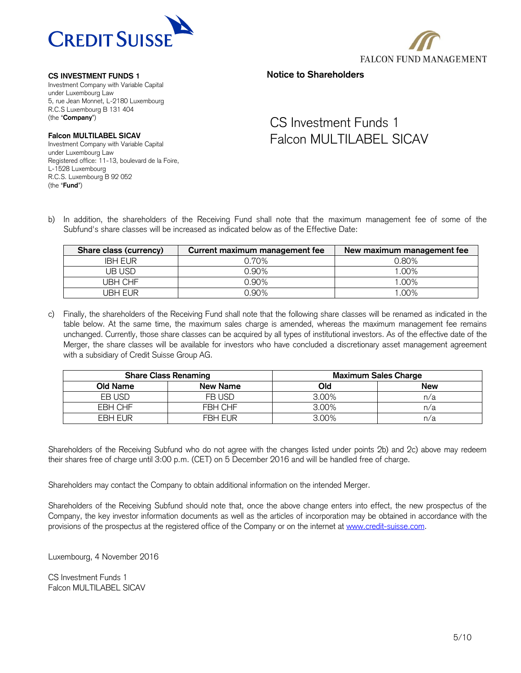



Investment Company with Variable Capital under Luxembourg Law 5, rue Jean Monnet, L-2180 Luxembourg R.C.S Luxembourg B 131 404 (the "**Company**")

**Falcon MULTILABEL SICAV**

Investment Company with Variable Capital under Luxembourg Law Registered office: 11-13, boulevard de la Foire, L-1528 Luxembourg R.C.S. Luxembourg B 92 052 (the "**Fund**")

# **Notice to Shareholders**

# CS Investment Funds 1 Falcon MULTILABEL SICAV

b) In addition, the shareholders of the Receiving Fund shall note that the maximum management fee of some of the Subfund's share classes will be increased as indicated below as of the Effective Date:

| Share class (currency) | Current maximum management fee | New maximum management fee |
|------------------------|--------------------------------|----------------------------|
| <b>IBH FUR</b>         | ን.70%                          | 0.80%                      |
| UB USD                 | 0.90%                          | 1.00%                      |
| JBH CHF                | 0.90%                          | 1.00%                      |
| UBH EUR                | 0.90%                          | 1.00%                      |

c) Finally, the shareholders of the Receiving Fund shall note that the following share classes will be renamed as indicated in the table below. At the same time, the maximum sales charge is amended, whereas the maximum management fee remains unchanged. Currently, those share classes can be acquired by all types of institutional investors. As of the effective date of the Merger, the share classes will be available for investors who have concluded a discretionary asset management agreement with a subsidiary of Credit Suisse Group AG.

|          | <b>Share Class Renaming</b> | <b>Maximum Sales Charge</b> |            |  |
|----------|-----------------------------|-----------------------------|------------|--|
| Old Name | <b>New Name</b>             | Old                         | <b>New</b> |  |
| EB USD   | FB USD                      | 3.00%                       | n/a        |  |
| EBH CHF  | FBH CHF                     | 3.00%                       | n/a        |  |
| FBH FUR  | <b>FBH FUR</b>              | $3.00\%$                    | n/a        |  |

Shareholders of the Receiving Subfund who do not agree with the changes listed under points 2b) and 2c) above may redeem their shares free of charge until 3:00 p.m. (CET) on 5 December 2016 and will be handled free of charge.

Shareholders may contact the Company to obtain additional information on the intended Merger.

Shareholders of the Receiving Subfund should note that, once the above change enters into effect, the new prospectus of the Company, the key investor information documents as well as the articles of incorporation may be obtained in accordance with the provisions of the prospectus at the registered office of the Company or on the internet at [www.credit-suisse.com.](http://www.credit-suisse.com/)

Luxembourg, 4 November 2016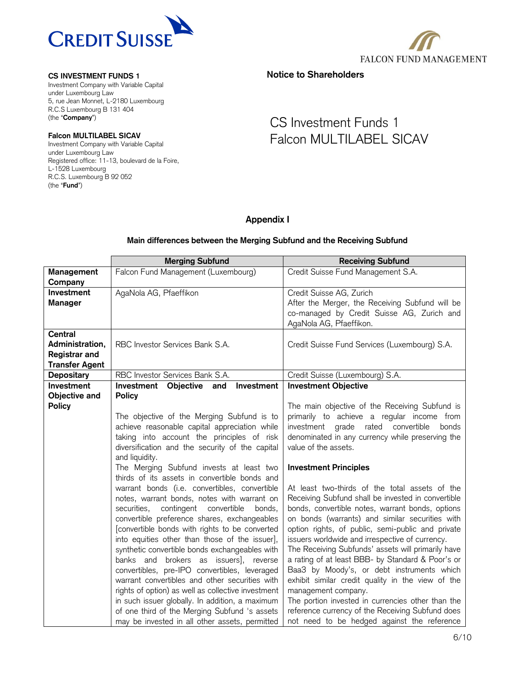

Investment Company with Variable Capital under Luxembourg Law 5, rue Jean Monnet, L-2180 Luxembourg R.C.S Luxembourg B 131 404 (the "**Company**")

# **Falcon MULTILABEL SICAV**

Investment Company with Variable Capital under Luxembourg Law Registered office: 11-13, boulevard de la Foire, L-1528 Luxembourg R.C.S. Luxembourg B 92 052 (the "**Fund**")



**Notice to Shareholders**

# CS Investment Funds 1 Falcon MULTILABEL SICAV

# **Appendix I**

# **Main differences between the Merging Subfund and the Receiving Subfund**

|                                                                                    | <b>Merging Subfund</b>                                                                                                                                                                                                                                                                                                                                                                                                                                                                                                                                                                                                                                                                                         | <b>Receiving Subfund</b>                                                                                                                                                                                                                                                                                                                                                                                                                                                                                                                                                                                                                                                                                         |
|------------------------------------------------------------------------------------|----------------------------------------------------------------------------------------------------------------------------------------------------------------------------------------------------------------------------------------------------------------------------------------------------------------------------------------------------------------------------------------------------------------------------------------------------------------------------------------------------------------------------------------------------------------------------------------------------------------------------------------------------------------------------------------------------------------|------------------------------------------------------------------------------------------------------------------------------------------------------------------------------------------------------------------------------------------------------------------------------------------------------------------------------------------------------------------------------------------------------------------------------------------------------------------------------------------------------------------------------------------------------------------------------------------------------------------------------------------------------------------------------------------------------------------|
| Management<br>Company                                                              | Falcon Fund Management (Luxembourg)                                                                                                                                                                                                                                                                                                                                                                                                                                                                                                                                                                                                                                                                            | Credit Suisse Fund Management S.A.                                                                                                                                                                                                                                                                                                                                                                                                                                                                                                                                                                                                                                                                               |
| Investment<br><b>Manager</b>                                                       | AgaNola AG, Pfaeffikon                                                                                                                                                                                                                                                                                                                                                                                                                                                                                                                                                                                                                                                                                         | Credit Suisse AG, Zurich<br>After the Merger, the Receiving Subfund will be<br>co-managed by Credit Suisse AG, Zurich and<br>AgaNola AG, Pfaeffikon.                                                                                                                                                                                                                                                                                                                                                                                                                                                                                                                                                             |
| <b>Central</b><br>Administration,<br><b>Registrar and</b><br><b>Transfer Agent</b> | RBC Investor Services Bank S.A.                                                                                                                                                                                                                                                                                                                                                                                                                                                                                                                                                                                                                                                                                | Credit Suisse Fund Services (Luxembourg) S.A.                                                                                                                                                                                                                                                                                                                                                                                                                                                                                                                                                                                                                                                                    |
| <b>Depositary</b>                                                                  | RBC Investor Services Bank S.A.                                                                                                                                                                                                                                                                                                                                                                                                                                                                                                                                                                                                                                                                                | Credit Suisse (Luxembourg) S.A.                                                                                                                                                                                                                                                                                                                                                                                                                                                                                                                                                                                                                                                                                  |
| Investment<br>Objective and<br><b>Policy</b>                                       | Objective<br>Investment<br>Investment<br>and<br><b>Policy</b>                                                                                                                                                                                                                                                                                                                                                                                                                                                                                                                                                                                                                                                  | <b>Investment Objective</b><br>The main objective of the Receiving Subfund is                                                                                                                                                                                                                                                                                                                                                                                                                                                                                                                                                                                                                                    |
|                                                                                    | The objective of the Merging Subfund is to<br>achieve reasonable capital appreciation while<br>taking into account the principles of risk<br>diversification and the security of the capital<br>and liquidity.                                                                                                                                                                                                                                                                                                                                                                                                                                                                                                 | primarily to achieve a regular income from<br>rated<br>convertible<br>investment grade<br>bonds<br>denominated in any currency while preserving the<br>value of the assets.                                                                                                                                                                                                                                                                                                                                                                                                                                                                                                                                      |
|                                                                                    | The Merging Subfund invests at least two<br>thirds of its assets in convertible bonds and                                                                                                                                                                                                                                                                                                                                                                                                                                                                                                                                                                                                                      | <b>Investment Principles</b>                                                                                                                                                                                                                                                                                                                                                                                                                                                                                                                                                                                                                                                                                     |
|                                                                                    | warrant bonds (i.e. convertibles, convertible<br>notes, warrant bonds, notes with warrant on<br>contingent convertible<br>securities,<br>bonds,<br>convertible preference shares, exchangeables<br>[convertible bonds with rights to be converted<br>into equities other than those of the issuer],<br>synthetic convertible bonds exchangeables with<br>banks and brokers as issuers], reverse<br>convertibles, pre-IPO convertibles, leveraged<br>warrant convertibles and other securities with<br>rights of option) as well as collective investment<br>in such issuer globally. In addition, a maximum<br>of one third of the Merging Subfund 's assets<br>may be invested in all other assets, permitted | At least two-thirds of the total assets of the<br>Receiving Subfund shall be invested in convertible<br>bonds, convertible notes, warrant bonds, options<br>on bonds (warrants) and similar securities with<br>option rights, of public, semi-public and private<br>issuers worldwide and irrespective of currency.<br>The Receiving Subfunds' assets will primarily have<br>a rating of at least BBB- by Standard & Poor's or<br>Baa3 by Moody's, or debt instruments which<br>exhibit similar credit quality in the view of the<br>management company.<br>The portion invested in currencies other than the<br>reference currency of the Receiving Subfund does<br>not need to be hedged against the reference |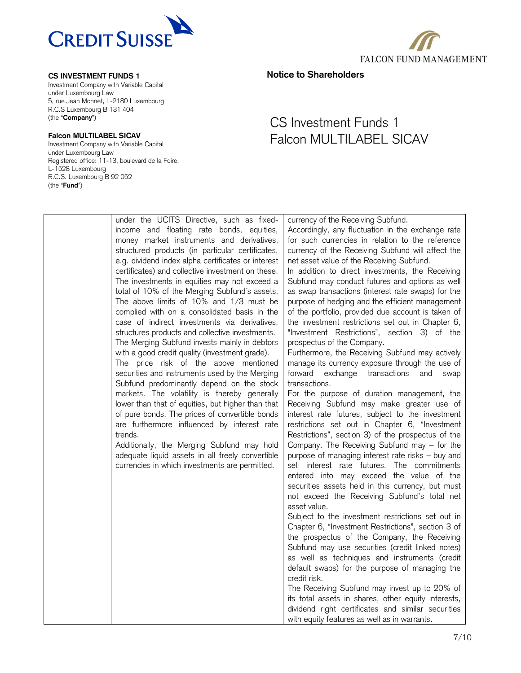

Investment Company with Variable Capital under Luxembourg Law 5, rue Jean Monnet, L-2180 Luxembourg R.C.S Luxembourg B 131 404 (the "**Company**")

# **Falcon MULTILABEL SICAV**

Investment Company with Variable Capital under Luxembourg Law Registered office: 11-13, boulevard de la Foire, L-1528 Luxembourg R.C.S. Luxembourg B 92 052 (the "**Fund**")



**Notice to Shareholders**

| under the UCITS Directive, such as fixed-          | currency of the Receiving Subfund.                  |
|----------------------------------------------------|-----------------------------------------------------|
| income and floating rate bonds, equities,          | Accordingly, any fluctuation in the exchange rate   |
| money market instruments and derivatives,          | for such currencies in relation to the reference    |
| structured products (in particular certificates,   | currency of the Receiving Subfund will affect the   |
| e.g. dividend index alpha certificates or interest | net asset value of the Receiving Subfund.           |
| certificates) and collective investment on these.  | In addition to direct investments, the Receiving    |
| The investments in equities may not exceed a       | Subfund may conduct futures and options as well     |
| total of 10% of the Merging Subfund's assets.      | as swap transactions (interest rate swaps) for the  |
| The above limits of 10% and 1/3 must be            | purpose of hedging and the efficient management     |
|                                                    |                                                     |
| complied with on a consolidated basis in the       | of the portfolio, provided due account is taken of  |
| case of indirect investments via derivatives,      | the investment restrictions set out in Chapter 6,   |
| structures products and collective investments.    | "Investment Restrictions", section 3) of the        |
| The Merging Subfund invests mainly in debtors      | prospectus of the Company.                          |
| with a good credit quality (investment grade).     | Furthermore, the Receiving Subfund may actively     |
| The price risk of the above mentioned              | manage its currency exposure through the use of     |
| securities and instruments used by the Merging     | forward exchange transactions<br>and<br>swap        |
| Subfund predominantly depend on the stock          | transactions.                                       |
| markets. The volatility is thereby generally       | For the purpose of duration management, the         |
| lower than that of equities, but higher than that  | Receiving Subfund may make greater use of           |
| of pure bonds. The prices of convertible bonds     | interest rate futures, subject to the investment    |
| are furthermore influenced by interest rate        | restrictions set out in Chapter 6, "Investment      |
| trends.                                            | Restrictions", section 3) of the prospectus of the  |
| Additionally, the Merging Subfund may hold         | Company. The Receiving Subfund may - for the        |
| adequate liquid assets in all freely convertible   | purpose of managing interest rate risks - buy and   |
| currencies in which investments are permitted.     | sell interest rate futures. The commitments         |
|                                                    | entered into may exceed the value of the            |
|                                                    | securities assets held in this currency, but must   |
|                                                    |                                                     |
|                                                    | not exceed the Receiving Subfund's total net        |
|                                                    | asset value.                                        |
|                                                    | Subject to the investment restrictions set out in   |
|                                                    | Chapter 6, "Investment Restrictions", section 3 of  |
|                                                    | the prospectus of the Company, the Receiving        |
|                                                    | Subfund may use securities (credit linked notes)    |
|                                                    | as well as techniques and instruments (credit       |
|                                                    | default swaps) for the purpose of managing the      |
|                                                    | credit risk.                                        |
|                                                    | The Receiving Subfund may invest up to 20% of       |
|                                                    | its total assets in shares, other equity interests, |
|                                                    | dividend right certificates and similar securities  |
|                                                    | with equity features as well as in warrants.        |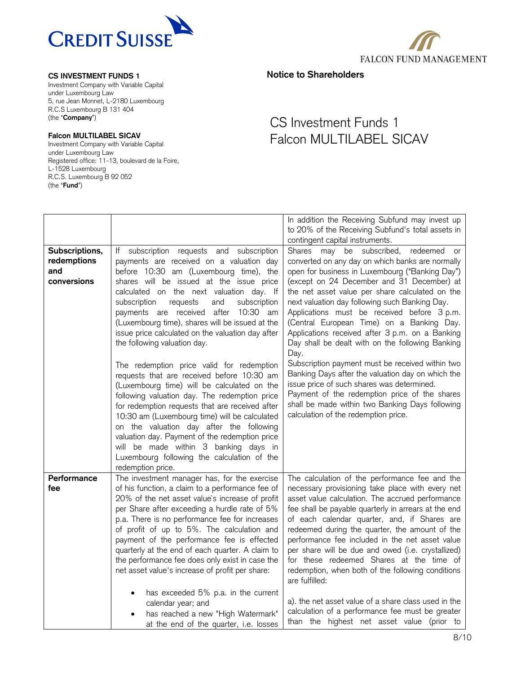

Investment Company with Variable Capital under Luxembourg Law 5, rue Jean Monnet, L-2180 Luxembourg R.C.S Luxembourg B 131 404 (the "**Company**")

# **Falcon MULTILABEL SICAV**

Investment Company with Variable Capital under Luxembourg Law Registered office: 11-13, boulevard de la Foire, L-1528 Luxembourg R.C.S. Luxembourg B 92 052 (the "**Fund**")



**Notice to Shareholders**

|                                                     |                                                                                                                                                                                                                                                                                                                                                                                                                                                                                                                                                                                                                                                                                                                                                                                                                                                                                                                                                                         | In addition the Receiving Subfund may invest up<br>to 20% of the Receiving Subfund's total assets in<br>contingent capital instruments.                                                                                                                                                                                                                                                                                                                                                                                                                                                                                                                                                                                                                                                                             |
|-----------------------------------------------------|-------------------------------------------------------------------------------------------------------------------------------------------------------------------------------------------------------------------------------------------------------------------------------------------------------------------------------------------------------------------------------------------------------------------------------------------------------------------------------------------------------------------------------------------------------------------------------------------------------------------------------------------------------------------------------------------------------------------------------------------------------------------------------------------------------------------------------------------------------------------------------------------------------------------------------------------------------------------------|---------------------------------------------------------------------------------------------------------------------------------------------------------------------------------------------------------------------------------------------------------------------------------------------------------------------------------------------------------------------------------------------------------------------------------------------------------------------------------------------------------------------------------------------------------------------------------------------------------------------------------------------------------------------------------------------------------------------------------------------------------------------------------------------------------------------|
| Subscriptions,<br>redemptions<br>and<br>conversions | If subscription requests and subscription<br>payments are received on a valuation day<br>before 10:30 am (Luxembourg time), the<br>shares will be issued at the issue price<br>calculated on the next valuation day. If<br>subscription<br>requests<br>and<br>subscription<br>payments are received after<br>10:30 am<br>(Luxembourg time), shares will be issued at the<br>issue price calculated on the valuation day after<br>the following valuation day.<br>The redemption price valid for redemption<br>requests that are received before 10:30 am<br>(Luxembourg time) will be calculated on the<br>following valuation day. The redemption price<br>for redemption requests that are received after<br>10:30 am (Luxembourg time) will be calculated<br>on the valuation day after the following<br>valuation day. Payment of the redemption price<br>will be made within 3 banking days in<br>Luxembourg following the calculation of the<br>redemption price. | redeemed<br>Shares may be subscribed,<br>or<br>converted on any day on which banks are normally<br>open for business in Luxembourg ("Banking Day")<br>(except on 24 December and 31 December) at<br>the net asset value per share calculated on the<br>next valuation day following such Banking Day.<br>Applications must be received before 3 p.m.<br>(Central European Time) on a Banking Day.<br>Applications received after 3 p.m. on a Banking<br>Day shall be dealt with on the following Banking<br>Day.<br>Subscription payment must be received within two<br>Banking Days after the valuation day on which the<br>issue price of such shares was determined.<br>Payment of the redemption price of the shares<br>shall be made within two Banking Days following<br>calculation of the redemption price. |
| Performance<br>fee                                  | The investment manager has, for the exercise<br>of his function, a claim to a performance fee of<br>20% of the net asset value's increase of profit<br>per Share after exceeding a hurdle rate of 5%<br>p.a. There is no performance fee for increases<br>of profit of up to 5%. The calculation and<br>payment of the performance fee is effected<br>quarterly at the end of each quarter. A claim to<br>the performance fee does only exist in case the<br>net asset value's increase of profit per share:<br>has exceeded 5% p.a. in the current                                                                                                                                                                                                                                                                                                                                                                                                                     | The calculation of the performance fee and the<br>necessary provisioning take place with every net<br>asset value calculation. The accrued performance<br>fee shall be payable quarterly in arrears at the end<br>of each calendar quarter, and, if Shares are<br>redeemed during the quarter, the amount of the<br>performance fee included in the net asset value<br>per share will be due and owed (i.e. crystallized)<br>for these redeemed Shares at the time of<br>redemption, when both of the following conditions<br>are fulfilled:<br>a). the net asset value of a share class used in the                                                                                                                                                                                                                |
|                                                     | calendar year; and<br>has reached a new "High Watermark"<br>at the end of the quarter, i.e. losses                                                                                                                                                                                                                                                                                                                                                                                                                                                                                                                                                                                                                                                                                                                                                                                                                                                                      | calculation of a performance fee must be greater<br>than the highest net asset value (prior to                                                                                                                                                                                                                                                                                                                                                                                                                                                                                                                                                                                                                                                                                                                      |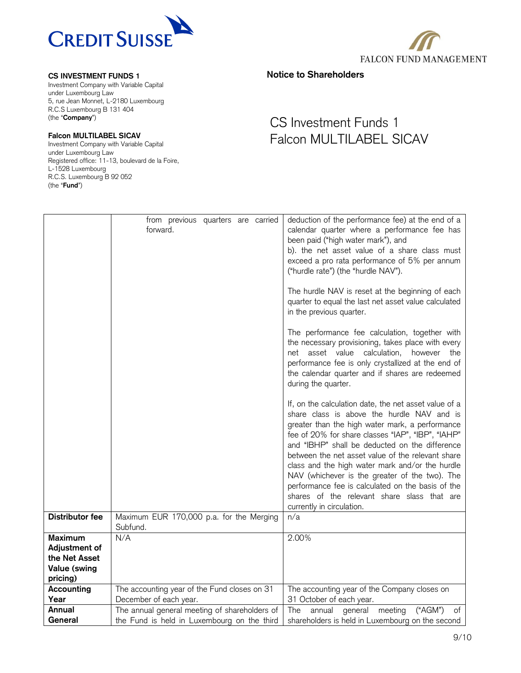

Investment Company with Variable Capital under Luxembourg Law 5, rue Jean Monnet, L-2180 Luxembourg R.C.S Luxembourg B 131 404 (the "**Company**")

# **Falcon MULTILABEL SICAV**

Investment Company with Variable Capital under Luxembourg Law Registered office: 11-13, boulevard de la Foire, L-1528 Luxembourg R.C.S. Luxembourg B 92 052 (the "**Fund**")



**Notice to Shareholders**

|                                                                                     | from previous quarters are carried<br>forward.                          | deduction of the performance fee) at the end of a<br>calendar quarter where a performance fee has<br>been paid ("high water mark"), and<br>b). the net asset value of a share class must<br>exceed a pro rata performance of 5% per annum<br>("hurdle rate") (the "hurdle NAV").<br>The hurdle NAV is reset at the beginning of each<br>quarter to equal the last net asset value calculated<br>in the previous quarter.<br>The performance fee calculation, together with<br>the necessary provisioning, takes place with every<br>net asset value calculation,<br>however the<br>performance fee is only crystallized at the end of<br>the calendar quarter and if shares are redeemed<br>during the quarter.<br>If, on the calculation date, the net asset value of a<br>share class is above the hurdle NAV and is<br>greater than the high water mark, a performance<br>fee of 20% for share classes "IAP", "IBP", "IAHP"<br>and "IBHP" shall be deducted on the difference<br>between the net asset value of the relevant share<br>class and the high water mark and/or the hurdle |
|-------------------------------------------------------------------------------------|-------------------------------------------------------------------------|------------------------------------------------------------------------------------------------------------------------------------------------------------------------------------------------------------------------------------------------------------------------------------------------------------------------------------------------------------------------------------------------------------------------------------------------------------------------------------------------------------------------------------------------------------------------------------------------------------------------------------------------------------------------------------------------------------------------------------------------------------------------------------------------------------------------------------------------------------------------------------------------------------------------------------------------------------------------------------------------------------------------------------------------------------------------------------------|
|                                                                                     |                                                                         | NAV (whichever is the greater of the two). The<br>performance fee is calculated on the basis of the<br>shares of the relevant share slass that are<br>currently in circulation.                                                                                                                                                                                                                                                                                                                                                                                                                                                                                                                                                                                                                                                                                                                                                                                                                                                                                                          |
| <b>Distributor fee</b>                                                              | Maximum EUR 170,000 p.a. for the Merging<br>Subfund.                    | n/a                                                                                                                                                                                                                                                                                                                                                                                                                                                                                                                                                                                                                                                                                                                                                                                                                                                                                                                                                                                                                                                                                      |
| <b>Maximum</b><br>Adjustment of<br>the Net Asset<br><b>Value (swing</b><br>pricing) | N/A                                                                     | 2.00%                                                                                                                                                                                                                                                                                                                                                                                                                                                                                                                                                                                                                                                                                                                                                                                                                                                                                                                                                                                                                                                                                    |
| Accounting                                                                          | The accounting year of the Fund closes on 31                            | The accounting year of the Company closes on                                                                                                                                                                                                                                                                                                                                                                                                                                                                                                                                                                                                                                                                                                                                                                                                                                                                                                                                                                                                                                             |
| Year<br>Annual                                                                      | December of each year.<br>The annual general meeting of shareholders of | 31 October of each year.<br>$(*AGM")$<br>general meeting<br>The<br>annual<br>of                                                                                                                                                                                                                                                                                                                                                                                                                                                                                                                                                                                                                                                                                                                                                                                                                                                                                                                                                                                                          |
| General                                                                             | the Fund is held in Luxembourg on the third                             | shareholders is held in Luxembourg on the second                                                                                                                                                                                                                                                                                                                                                                                                                                                                                                                                                                                                                                                                                                                                                                                                                                                                                                                                                                                                                                         |